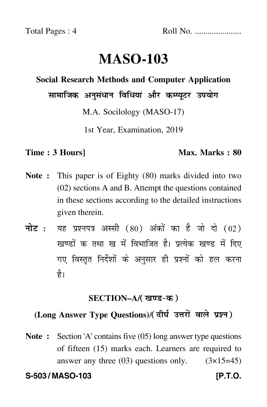Total Pages : 4 Roll No. ......................

# **MASO-103**

#### **Social Research Methods and Computer Application**

सामाजिक अनुसंधान विधियां और कम्प्यूटर उपयोग

M.A. Socilology (MASO-17)

1st Year, Examination, 2019

#### **Time : 3 Hours]** Max. Marks : 80

- **Note :** This paper is of Eighty (80) marks divided into two (02) sections A and B. Attempt the questions contained in these sections according to the detailed instructions given therein.
- नोट : यह प्रश्नपत्र अस्सी (80) अंकों का है जो दो (02) खण्डों क तथा ख में विभाजित है। प्रत्येक खण्ड में दिए गए विस्तृत निर्देशों के अनुसार ही प्रश्नों को हल करन<mark>ा</mark> है।

## <u>SECTION–A/( खण्ड-क</u> )

# (Long Answer Type Questions)/( दीर्घ उत्तरों वाले प्रश्न )

**Note :** Section 'A' contains five (05) long answer type questions of fifteen (15) marks each. Learners are required to answer any three  $(03)$  questions only.  $(3\times15=45)$ 

**S-503 / MASO-103 [P.T.O.**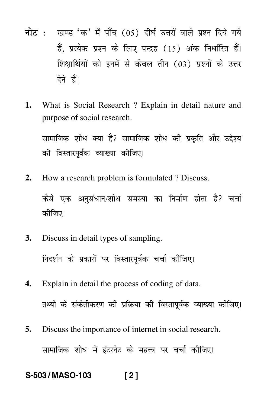- <mark>नोट</mark> : खण्ड 'क' में पाँच (05) दीर्घ उत्तरों वाले प्रश्न दिये गये हैं, प्रत्येक प्रश्न के लिए पन्द्रह (15) अंक निर्धारित हैं। शिक्षार्थियों को इनमें से केवल तीन (03) प्रश्नों के उत्तर देने हैं।
- **1.** What is Social Research ? Explain in detail nature and purpose of social research.

सामाजिक शोध क्या है? सामाजिक शोध की प्रकृति और उद्देश्य  $\mathfrak{f}$ -की विस्तारपूर्वक व्याख्या कीजिए।

- **2.** How a research problem is formulated ? Discuss. कैसे एक अनुसंधान/शोध समस्या का निर्माण होता है? चर्चा - $\dagger$ कीजिए।
- **3.** Discuss in detail types of sampling. निदर्शन के प्रकारों पर विस्तारपूर्वक चर्चा कीजिए।
- **4.** Explain in detail the process of coding of data. तथ्यो के संकेतीकरण की प्रक्रिया की विस्तापूर्वक व्याख्या कीजिए।
- **5.** Discuss the importance of internet in social research. सामाजिक शोध में इंटरनेट के महत्त्व पर चर्चा कीजिए।  $\dagger$

## **S-503 / MASO-103 [ 2 ]**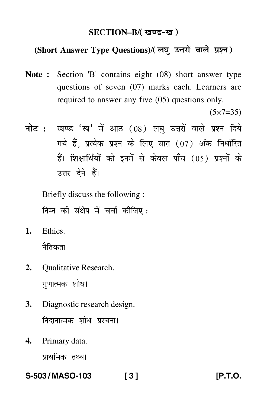## SECTION–B/( खण्ड-ख )

#### (Short Answer Type Questions)/(लघु उत्तरों वाले प्रश्न) ֦֧֦֧֦֧֝<u>֚</u>

**Note :** Section 'B' contains eight (08) short answer type questions of seven (07) marks each. Learners are required to answer any five (05) questions only.

 $(5 \times 7 = 35)$ 

<mark>नोट</mark> : खण्ड 'ख' में आठ (08) लघु उत्तरों वाले प्रश्न दिये गये हैं, प्रत्येक प्रश्न के लिए सात (07) अंक निर्धारित हैं। शिक्षार्थियों को इनमें से केवल पाँच (05) प्रश्नों के उत्तर देने हैं।

Briefly discuss the following : निम्न की संक्षेप में चर्चा कीजिए :

**1.** Ethics.

नैतिकता।

- **2.** Qualitative Research. गुणात्मक शोध। --
- **3.** Diagnostic research design. निदानात्मक शोध प्ररचना।  $\mathfrak{f}$
- **4.** Primary data.

प्राथमिक <mark>तथ्य।</mark>

**S-503 / MASO-103 [ 3 ] [P.T.O.**